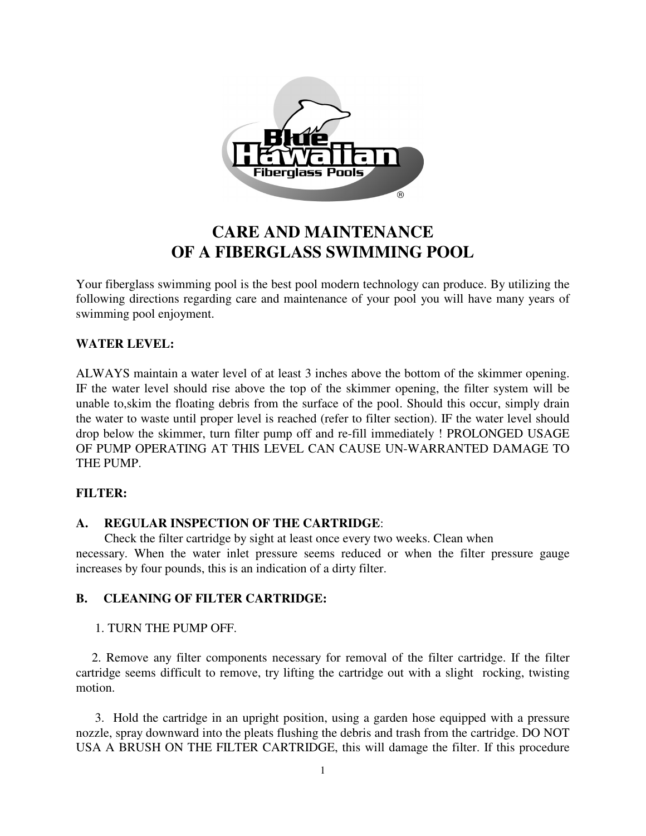

# **CARE AND MAINTENANCE OF A FIBERGLASS SWIMMING POOL**

Your fiberglass swimming pool is the best pool modern technology can produce. By utilizing the following directions regarding care and maintenance of your pool you will have many years of swimming pool enjoyment.

## **WATER LEVEL:**

ALWAYS maintain a water level of at least 3 inches above the bottom of the skimmer opening. IF the water level should rise above the top of the skimmer opening, the filter system will be unable to,skim the floating debris from the surface of the pool. Should this occur, simply drain the water to waste until proper level is reached (refer to filter section). IF the water level should drop below the skimmer, turn filter pump off and re-fill immediately ! PROLONGED USAGE OF PUMP OPERATING AT THIS LEVEL CAN CAUSE UN-WARRANTED DAMAGE TO THE PUMP.

#### **FILTER:**

## **A. REGULAR INSPECTION OF THE CARTRIDGE**:

 Check the filter cartridge by sight at least once every two weeks. Clean when necessary. When the water inlet pressure seems reduced or when the filter pressure gauge increases by four pounds, this is an indication of a dirty filter.

## **B. CLEANING OF FILTER CARTRIDGE:**

#### 1. TURN THE PUMP OFF.

 2. Remove any filter components necessary for removal of the filter cartridge. If the filter cartridge seems difficult to remove, try lifting the cartridge out with a slight rocking, twisting motion.

 3. Hold the cartridge in an upright position, using a garden hose equipped with a pressure nozzle, spray downward into the pleats flushing the debris and trash from the cartridge. DO NOT USA A BRUSH ON THE FILTER CARTRIDGE, this will damage the filter. If this procedure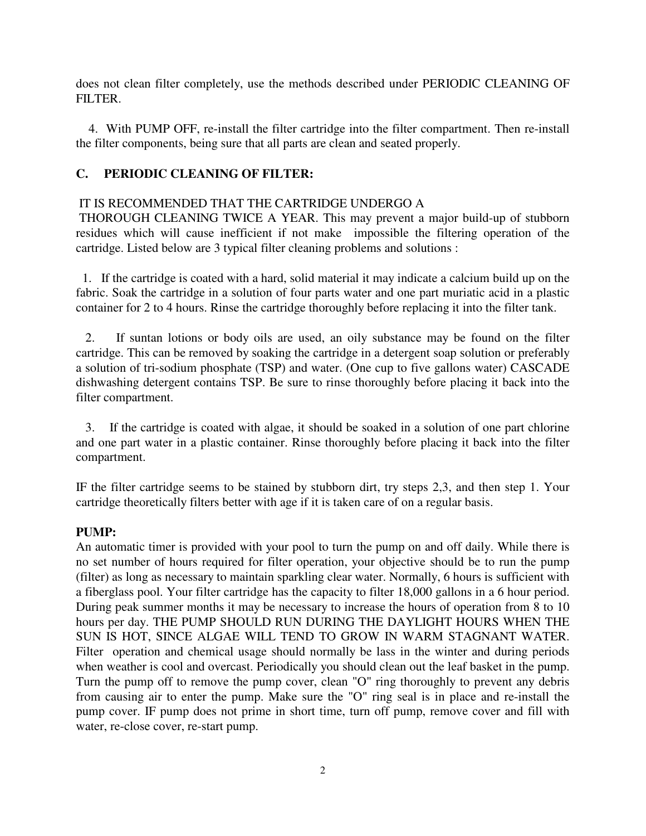does not clean filter completely, use the methods described under PERIODIC CLEANING OF FILTER.

 4. With PUMP OFF, re-install the filter cartridge into the filter compartment. Then re-install the filter components, being sure that all parts are clean and seated properly.

## **C. PERIODIC CLEANING OF FILTER:**

### IT IS RECOMMENDED THAT THE CARTRIDGE UNDERGO A

THOROUGH CLEANING TWICE A YEAR. This may prevent a major build-up of stubborn residues which will cause inefficient if not make impossible the filtering operation of the cartridge. Listed below are 3 typical filter cleaning problems and solutions :

 1. If the cartridge is coated with a hard, solid material it may indicate a calcium build up on the fabric. Soak the cartridge in a solution of four parts water and one part muriatic acid in a plastic container for 2 to 4 hours. Rinse the cartridge thoroughly before replacing it into the filter tank.

 2. If suntan lotions or body oils are used, an oily substance may be found on the filter cartridge. This can be removed by soaking the cartridge in a detergent soap solution or preferably a solution of tri-sodium phosphate (TSP) and water. (One cup to five gallons water) CASCADE dishwashing detergent contains TSP. Be sure to rinse thoroughly before placing it back into the filter compartment.

 3. If the cartridge is coated with algae, it should be soaked in a solution of one part chlorine and one part water in a plastic container. Rinse thoroughly before placing it back into the filter compartment.

IF the filter cartridge seems to be stained by stubborn dirt, try steps 2,3, and then step 1. Your cartridge theoretically filters better with age if it is taken care of on a regular basis.

#### **PUMP:**

An automatic timer is provided with your pool to turn the pump on and off daily. While there is no set number of hours required for filter operation, your objective should be to run the pump (filter) as long as necessary to maintain sparkling clear water. Normally, 6 hours is sufficient with a fiberglass pool. Your filter cartridge has the capacity to filter 18,000 gallons in a 6 hour period. During peak summer months it may be necessary to increase the hours of operation from 8 to 10 hours per day. THE PUMP SHOULD RUN DURING THE DAYLIGHT HOURS WHEN THE SUN IS HOT, SINCE ALGAE WILL TEND TO GROW IN WARM STAGNANT WATER. Filter operation and chemical usage should normally be lass in the winter and during periods when weather is cool and overcast. Periodically you should clean out the leaf basket in the pump. Turn the pump off to remove the pump cover, clean "O" ring thoroughly to prevent any debris from causing air to enter the pump. Make sure the "O" ring seal is in place and re-install the pump cover. IF pump does not prime in short time, turn off pump, remove cover and fill with water, re-close cover, re-start pump.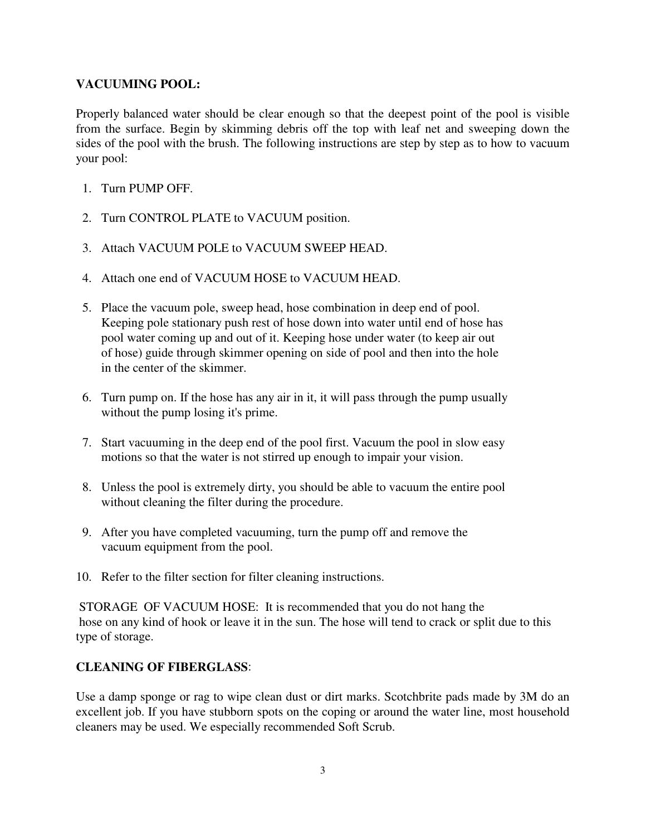### **VACUUMING POOL:**

Properly balanced water should be clear enough so that the deepest point of the pool is visible from the surface. Begin by skimming debris off the top with leaf net and sweeping down the sides of the pool with the brush. The following instructions are step by step as to how to vacuum your pool:

- 1. Turn PUMP OFF.
- 2. Turn CONTROL PLATE to VACUUM position.
- 3. Attach VACUUM POLE to VACUUM SWEEP HEAD.
- 4. Attach one end of VACUUM HOSE to VACUUM HEAD.
- 5. Place the vacuum pole, sweep head, hose combination in deep end of pool. Keeping pole stationary push rest of hose down into water until end of hose has pool water coming up and out of it. Keeping hose under water (to keep air out of hose) guide through skimmer opening on side of pool and then into the hole in the center of the skimmer.
- 6. Turn pump on. If the hose has any air in it, it will pass through the pump usually without the pump losing it's prime.
- 7. Start vacuuming in the deep end of the pool first. Vacuum the pool in slow easy motions so that the water is not stirred up enough to impair your vision.
- 8. Unless the pool is extremely dirty, you should be able to vacuum the entire pool without cleaning the filter during the procedure.
- 9. After you have completed vacuuming, turn the pump off and remove the vacuum equipment from the pool.
- 10. Refer to the filter section for filter cleaning instructions.

STORAGE OF VACUUM HOSE: It is recommended that you do not hang the hose on any kind of hook or leave it in the sun. The hose will tend to crack or split due to this type of storage.

## **CLEANING OF FIBERGLASS**:

Use a damp sponge or rag to wipe clean dust or dirt marks. Scotchbrite pads made by 3M do an excellent job. If you have stubborn spots on the coping or around the water line, most household cleaners may be used. We especially recommended Soft Scrub.